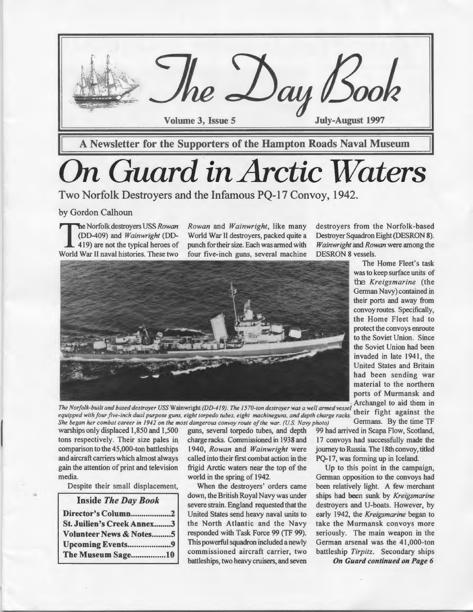

# *On Guard in Arctic Waters*

Two Norfolk Destroyers and the Infamous PQ-17 Convoy, 1942.

by Gordon Calhoun

**11** he Norfolk destroyers USS *Rowan*<br>
19) are not the typical heroes of DD-409) and *Wainwright* (DD-World War II naval histories. These two

*Rowan* and *Wainwright,* like many World War II destroyers, packed quite a punch for their size. Each was armed with four five-inch guns, several machine



equipped with four five-inch dual purpose guns, eight torpedo tubes, eight machineguns, and depth charge racks.<br>She began her combat career in 1942 on the most dangerous convoy route of the war. (U.S. Navy photo) Germans. *She began her combat career in 1942 on the most dangerous convoy route of the war. (U.S. Navy photo)* 

warships only displaced 1,850 and 1,500 guns, several torpedo tubes, and depth 99 had arrived in Scapa Flow, Scotland, tons respectively. Their size pales in charge racks. Commissioned in 1938 and 17 convoys had successfully made the comparison to the 45,000-ton battleships 1940, *Rowan* and *Wainwright* were journey to Russia. The 18th convoy, titled and aircraft carriers which almost always called into their first combat action in the PQ-17, was forming up in Iceland. gain the attention of print and television frigid Arctic waters near the top of the Up to this point in the campaign,

•

| <b>Inside The Day Book</b>         |  |
|------------------------------------|--|
| Director's Column2                 |  |
| <b>St. Juilien's Creek Annex3</b>  |  |
| <b>Volunteer News &amp; Notes5</b> |  |
| Upcoming Events9                   |  |
| The Museum Sage10                  |  |

Despite their small displacement, When the destroyers' orders came been relatively light. A few merchant down, the British Royal Navy was under ships had been sunk by *Kreigsmarine*  severe strain. England requested that the destroyers and U-boats. However, by United States send heavy naval units to early 1942, the *Kreigsmarine* began to the North Atlantic and the Navy take the Murmansk convoys more responded with Task Force 99 (TF 99). seriously. The main weapon in the This powerful squadron included a newly German arsenal was the 41,000-ton commissioned aircraft carrier, two battleship *Tirpitz.* Secondary ships battleships, two heavy cruisers, and seven On Guard continued on Page 6

destroyers from the Norfolk-based Destroyer Squadron Eight (DESRON 8). *Wainwright* and *Rowan* were among the DESRON 8 vessels.

The Home Fleet's task was to keep surface units of the *Kreigsmarine* (the German Navy) contained in their ports and away from convoy routes. Specifically, the Home Fleet had to protect the convoys enroute to the Soviet Union. Since the Soviet Union had been invaded in late 1941, the United States and Britain had been sending war material to the northern ports of Murmansk and

media. World in the spring of 1942. German opposition to the convoys had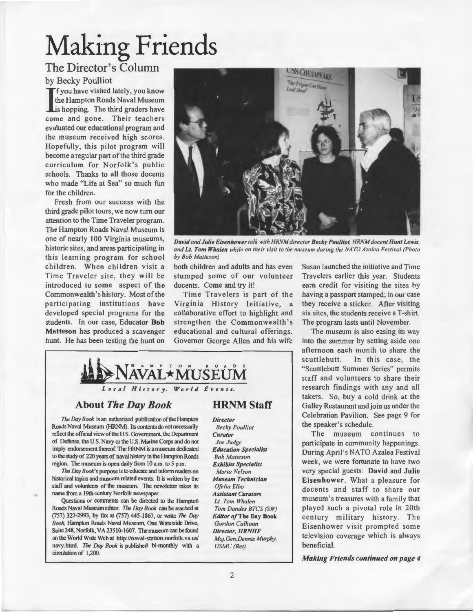# Making Friends

### The Director's Column

#### by Becky Poulliot

If you have visited lately, you know<br>the Hampton Roads Naval Museum<br>is hopping. The third graders have f you have visited lately, you know the Hampton Roads Naval Museum come and gone. Their teachers evaluated our educational program and the museum received high scores. Hopefully, this pilot program will become a regular part of the third grade curriculum for Norfolk's public schools. Thanks to all those docents who made "Life at Sea" so much fun for the children.

Fresh from our success with the third grade pilot tours, we now tum our attention to the Time Traveler program. The Hampton Roads Naval Museum is one of nearly 100 Virginia museums, historic sites, and areas participating in this learning program for school children. When children visit a Time Traveler site, they will be introduced to some aspect of the Commonwealth's history. Most of the participating institutions have developed special programs for the students. In our case, Educator Bob Matteson has produced a scavenger hunt. He has been testing the hunt on



*David and Julie Eisenhower talk with HRNM director Becky Poul/iot, HRNM docent Hunt Lewis, and Lt. Tom Whalen while on their visit to the museum during the NATO Azalea Festival (Photo by Bob Matteson)* 

both children and adults and has even Susan launched the initiative and Time stumped some of our volunteer docents. Come and try it!

Time Travelers is part of the Virginia History Initiative, a collaborative effort to highlight and strengthen the Commonwealth's educational and cultural offerings. Governor George Allen and his wife

Travelers earlier this year. Students earn credit for visiting the sites by having a passport stamped; in our case they receive a sticker. After visiting six sites, the students receive a T-shirt. The program lasts until November.

The museum is also easing its way into the summer by setting aside one afternoon each month to share the scuttlebutt. In this case, the "Scuttlebutt Summer Series" permits staff and volunteers to share their research findings with any and all takers. So, buy a cold drink at the Galley Restaurant and join us under the Celebration Pavilion. See page 9 for the speaker's schedule.

The museum continues to participate in community happenings. During April's NATO Azalea Festival week, we were fortunate to have two very special guests: David and Julie Eisenhower. What a pleasure for docents and staff to share our museum's treasures with a family that played such a pivotal role in 20th century military history. The Eisenhower visit prompted some television coverage which is always beneficial.

*Making Friends continued on page 4* 

![](_page_1_Picture_13.jpeg)

#### About *The Day Book*

*The* Day *Book* is an authorized publication of the Hampton Roads Naval Museum (HRNM). Its contents do not necessarily reflect the official view of the U.S. Government, the Department of Defense, the U.S. Navy or the U.S. Marine Corps and do not imply endorsement thereof. The HRNM is a museum dedicated to the study of 220 years of naval history in the Hampton Roads region. The museum is open daily from 10 a.m. to 5 p.m.

*1he* Day *Book's* purpose is to educate and inform readers on historical topics and museum related events. It is written by the staff and volunteers of the museum. The newsletter takes its name from a 19th century Norfolk newspaper.

•

Questions or comments can be directed to the Hampton Roads Naval Museum editor. *The* Day *Book* can be reached at (757) 322-2993, by fax at (757) 445-1867, or write *1he* Day *Book,* Hampton Roads Naval Museum, One Waterside Drive, Suite 248, Norfolk, VA 23510-1607. The museum can be found on the World Wide Web at http://naval-station.norfolk.va.us/ navy.html. *The* Day *Book* is published bi-monthly with a circulation of 1,200.

### **HRNM Staff**

*Director* 

*Becky Poulliot Curator Joe Judge Education Specialist Bob Matteson Exhibits Specialist Marta Nelson Museum Technician Ofelia Elbo Assistant Curators*  Lt. *Tom Whalen Tom Dandes BTCS (SW) Editor of* The Day Book *Gordon Calhoun Director, HRNHF Maj.Gen.Dennis Murphy, USMC (Ret)*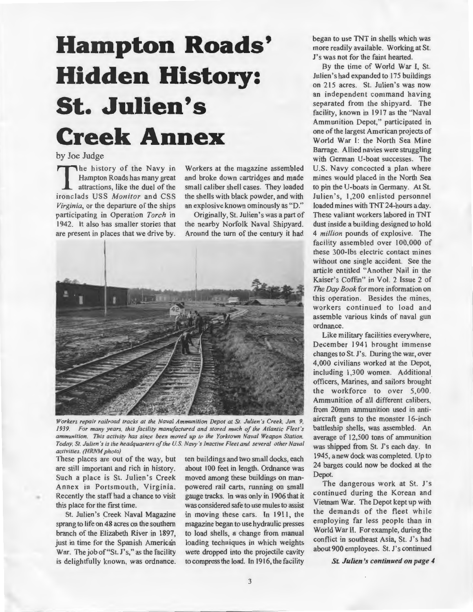## **Hampton Roads' Hidden History: St. Julien 's Creek Annex**

#### by Joe Judge

The history of the Navy in<br>
Hampton Roads has many great<br>
attractions, like the duel of the<br>
strengthed LISS Monitor and CSS Hampton Roads has many great ironclads USS *Monitor* and CSS *Virginia,* or the departure of the ships participating in Operation *Torch* in 1942. It also has smaller stories that are present in places that we drive by.

Workers at the magazine assembled and broke down cartridges and made small caliber shell cases. They loaded the shells with black powder, and with an explosive known ominously as "D."

Originally, St. Julien's was a part of the nearby Norfolk Naval Shipyard. Around the turn of the century it had

![](_page_2_Picture_5.jpeg)

*Workers repair railroad tracks at the Naval Ammunition Depot at St. Julien 's Creek, Jan. 9, 1939. For many years, this facility manufactured and stored much of the Atlantic Fleet 's ammunition. This activity has since been moved up to the Yorktown Naval Weapon Station. Today, St. Julien 's is the headquarters of the U.S. Navy 's Inactive Fleet and several other Naval activities. (HRNM photo)* 

These places are out of the way, but are still important and rich in history. Such a place is St. Julien's Creek Annex in Portsmouth, Virginia. Recently the staff had a chance to visit this place for the first time.

•

St. Julien's Creek Naval Magazine sprang to life on 48 acres on the southern branch of the Elizabeth River in 1897, just in time for the Spanish American War. The job of "St. J's," as the facility is delightfully known, was ordnance. ten buildings and two small docks, each about 100 feet in length. Ordnance was moved among these buildings on manpowered rail carts, running on small gauge tracks. In was only in 1906 that it was considered safe to use mules to assist in moving these cars. In 1911, the magazine began to use hydraulic presses to load shells, a change from manual loading techniques in which weights were dropped into the projectile cavity to compress the load. In 1916, the facility

began to use TNT in shells which was more readily available. Working at St. J's was not for the faint hearted.

By the time of World War I, St. Julien's had expanded to 175 buildings on 215 acres. St. Julien's was now an independent command having separated from the shipyard. The facility, known in 1917 as the "Naval Ammunition Depot," participated in one of the largest American projects of World War 1: the North Sea Mine Barrage. Allied navies were struggling with German U-boat successes. The U.S. Navy concocted a plan where mines would placed in the North Sea to pin the U-boats in Germany. At St. Julien's, 1,200 enlisted personnel loaded mines with TNT 24-hours a day. These valiant workers labored in TNT dust inside a building designed to hold 4 *million* pounds of explosive. The facility assembled over 100,000 of these 300-lbs electric contact mines without one single accident. See the article entitled "Another Nail in the Kaiser's Coffin" in Vol. 2 Issue 2 of *The Day Book* for more information on this operation. Besides the mines, workers continued to load and assemble various kinds of naval gun ordnance.

Like military facilities everywhere, December 1941 brought immense changes to St. J's. During the war, over 4,000 civilians worked at the Depot, including 1,300 women. Additional officers, Marines, and sailors brought the workforce to over 5,000. Ammunition of all different calibers, from 20mm ammunition used in antiaircraft guns to the monster 16-inch battleship shells, was assembled. An average of 12,500 tons of ammunition was shipped from St. J's each day. In 1945, a new dock was completed. Up to 24 barges could now be docked at the Depot.

The dangerous work at St. J's continued during the Korean and Vietnam War. The Depot kept up with the demands of the fleet while employing far less people than in World War II. For example, during the conflict in southeast Asia, St. J's had about 900 employees. St. J's continued

*St. Julien's continued on page 4*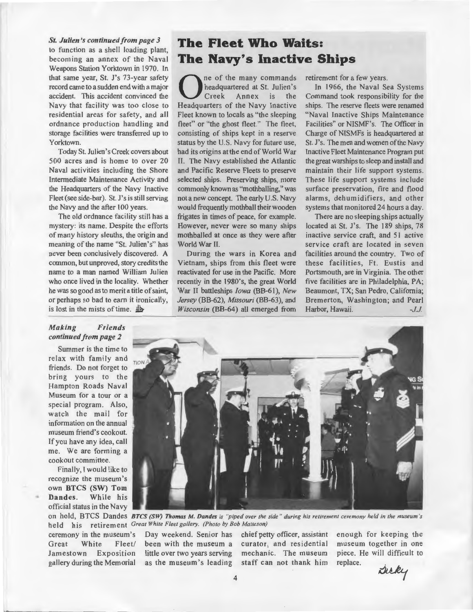*St. Julien's continued from page 3*  to function as a shell loading plant, becoming an annex of the Naval Weapons Station Yorktown in 1970. In that same year, St. J's 73-year safety record came to a sudden end with a major accident. This accident convinced the Navy that facility was too close to residential areas for safety, and all ordnance production handling and storage facilities were transferred up to Yorktown.

Today St. Julien'sCreek covers about 500 acres and is home to over 20 Naval activities including the Shore Intermediate Maintenance Activity and the Headquarters of the Navy Inactive Fleet (see side-bar). St. J's is still serving the Navy and the after 100 years.

The old ordnance facility still has a mystery: its name. Despite the efforts of many history sleuths, the origin and meaning of the name "St. Julien's" has never been conclusively discovered. A common, but unproved, story credits the name to a man named William Julien who once lived in the locality. Whether he was so good as to merit a title of saint, or perhaps so bad to earn it ironically, is lost in the mists of time.  $4b$ 

### **The Fleet Who Waits: The Navy's Inactive Ships**

**1** ne of the many commands<br> **1** Creek Annex is the<br> **1** Headquarters of the Navy Inactive headquartered at St. Julien 's Creek Annex is the Headquarters of the Navy Inactive Fleet known to locals as "the sleeping fleet" or "the ghost fleet." The fleet, consisting of ships kept in a reserve status by the U.S. Navy for future use, had its origins at the end of World War II. The Navy established the Atlantic and Pacific Reserve Fleets to preserve selected ships. Preserving ships, more commonly known as "mothballing," was not a new concept. The early U.S. Navy would frequently mothball their wooden frigates in times of peace, for example. However, never were so many ships mothballed at once as they were after World War II.

During the wars in Korea and Vietnam, ships from this fleet were reactivated for use in the Pacific. More recently in the 1980's, the great World War II battleships *Iowa* (BB-61), New *Jersey* (BB-62), *Missouri* (BB-63), and *Wisconsin* (BB-64) all emerged from retirement for a few years.

In 1966, the Naval Sea Systems Command took responsibility for the ships. The reserve fleets were renamed "Naval Inactive Ships Maintenance Facilities" or NISMF's. The Officer in Charge of NISMFs is headquartered at St. J's. The men and women of the Navy Inactive Fleet Maintenance Program put the great warships to sleep and install and maintain their life support systems. These life support systems include surface preservation, fire and flood alarms, dehumidifiers, and other systems that monitored 24 hours a day.

There are no sleeping ships actually located at St. J's. The 189 ships, 78 inactive service craft, and 51 active service craft are located in seven facilities around the country. Two of these facilities, Ft. Eustis and Portsmouth, are in Virginia. The other five facilities are in Philadelphia, PA; Beaumont, TX; San Pedro, California; Bremerton, Washington; and Pearl Harbor, Hawaii. *-J.J.* 

#### *Making Friends continued from page 2*

Summer is the time to relax with family and friends. Do not forget to bring yours to the Hampton Roads Naval Museum for a tour or a special program. Also, watch the mail for information on the annual museum friend's cookout. If you have any idea, call me. We are forming a cookout committee.

Finally, I would like to recognize the museum 's own BTCS (SW) Tom Dandes. While his official status in the Navy on hold, BTCS Dan des *BTCS (SW) Thomas M. Dandes is "piped over the side " during his retirement ceremony held in the museum 's* 

held his retirement *Great White Fleet gallery. (Photo by Bob Matteson)* Jamestown Exposition gallery during the Memorial

ceremony in the museum 's Day weekend. Senior has chief petty officer, assistant Great White Fleet/ been with the museum a curator, and residential little over two years serving as the museum 's leading

mechanic. The museum staff can not thank him enough for keeping the museum together in one piece. He will difficult to replace.

Dicky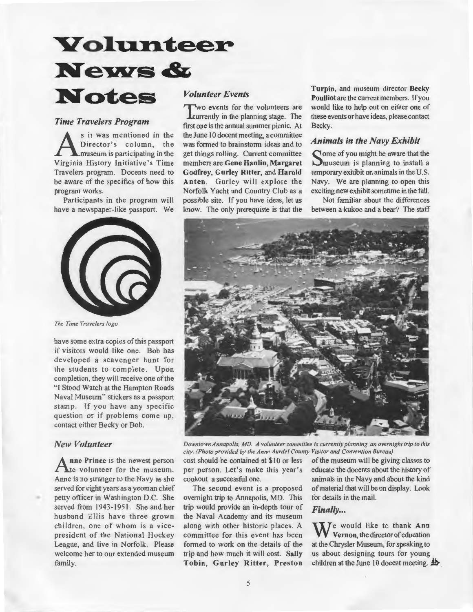### Volunteer **News & Notes**

#### *Time Travelers Program*

S it was mentioned in the<br>Director's column, the<br>Mirainia History Initiative's Time Director's column, the Virginia History Initiative's Time Travelers program. Docents need to be aware of the specifics of how this program works.

Participants in the program will have a newspaper-like passport. We

![](_page_4_Picture_4.jpeg)

*The Time Travelers logo* 

have some extra copies of this passport if visitors would like one. Bob has developed a scavenger hunt for the students to complete. Upon completion, they will receive one of the "I Stood Watch at the Hampton Roads Naval Museum" stickers as a passport stamp. If you have any specific question or if problems come up, contact either Becky or Bob.

#### *New Volunteer*

•

nne Prince is the newest person Ato volunteer for the museum. Anne is no stranger to the Navy as she served for eight years as a yeoman chief petty officer in Washington D.C. She served from 1943-1951. She and her husband Ellis have three grown children, one of whom is a vicepresident of the National Hockey League, and live in Norfolk. Please welcome her to our extended museum family.

#### *Volunteer Events*

'wo events for the volunteers are **L**currently in the planning stage. The frrst one is the annual summer picnic. At the June 10 docent meeting, a committee was formed to brainstorm ideas and to get things rolling. Current committee members are Gene Hanlin, Margaret Godfrey, Gurley Ritter, and Harold Anten. Gurley will explore the Norfolk Yacht and Country Club as a possible site. If you have ideas, let us know. The only prerequiste is that the

Turpin, and museum director Becky Poulliot are the current members. If you would like to help out on either one of these events or have ideas, please contact Becky.

#### *Animals in the Navy Exhibit*

Some of you might be aware that the Somuseum is planning to install a temporary exhibit on animals in the U.S. Navy. We are planning to open this exciting new exhibit sometime in the fall.

Not familiar about the differences between a kukoo and a bear? The staff

![](_page_4_Picture_15.jpeg)

*Downtown Annapolis, MD. A volunteer committee is currently planning an overnight trip to this city. (Photo provided by the Anne Aurdel County Visitor and Convention Bureau)* 

cost should be contained at \$10 or less of the museum will be giving classes to per person. Let's make this year's educate the docents about the history of cookout a successful one. animals in the Navy and about the kind

overnight trip to Annapolis, MD. This for details in the mail. trip would provide an in-depth tour of **Finally...** the Naval Academy and its museum along with other historic places. A committee for this event has been formed to work on the details of the trip and how much it will cost. Sally Tobin, Gurley Ritter, Preston

The second event is a proposed of material that will be on display. Look

We would like to thank Ann Vernon, the director of education at the Chrysler Museum, for speaking to us about designing tours for young children at the June 10 docent meeting.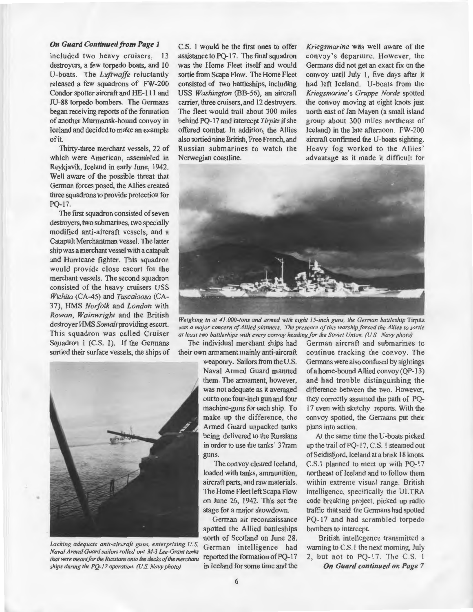#### *On Guard Continued from Page 1*

included two heavy cruisers, 13 destroyers, a few torpedo boats, and 10 U-boats. The *Luftwaffe* reluctantly released a few squadrons of FW-200 Condor spotter aircraft and HE-111 and JU-88 torpedo bombers. The Germans began receiving reports of the formation of another Murmansk-bound convoy in Iceland and decided to make an example of it.

Thirty-three merchant vessels, 22 of which were American, assembled in Reykjavik, Iceland in early June, 1942. Well aware of the possible threat that German forces posed, the Allies created three squadrons to provide protection for PQ-17.

The first squadron consisted of seven destroyers, two submarines, two specially modified anti-aircraft vessels, and a Catapult Merchantman vessel. The latter ship was a merchant vessel with a catapult and Hurricane fighter. This squadron would provide close escort for the merchant vessels. The second squadron consisted of the heavy cruisers USS *Wichita* (CA-45) and *Tuscaloosa* (CA-37), HMS *Norfolk* and *London* with *Rowan, Wainwright* and the British destroyer HMS *Somali* providing escort. This squadron was called Cruiser Squadron I (C.S. 1). If the Germans sortied their surface vessels, the ships of C.S. 1 would be the first ones to offer assistance to PQ-17. The final squadron was the Home Fleet itself and would sortie from Scapa Flow. The Home Fleet consisted of two battleships, including USS *Washington* (BB-56), an aircraft carrier, three cruisers, and 12 destroyers. The fleet would trail about 300 miles behind PQ-17 and intercept *Tirpitz* if she offered combat. In addition, the Allies also sortied nine British, Free French, and Russian submarines to watch the Norwegian coastline.

Kriegsmarine was well aware of the convoy's departure. However, the Germans did not get an exact fix on the convoy until July I, five days after it had left Iceland. U-boats from the *Kriegsmarine's Gruppe Norde* spotted the convoy moving at eight knots just north east of Jan Mayen (a small island group about 300 miles northeast of Iceland) in the late afternoon. FW-200 aircraft confirmed the U-boats sighting. Heavy fog worked to the Allies' advantage as it made it difficult for

![](_page_5_Picture_6.jpeg)

*Weighing in at 41,000-tons and armed with eight 15-inch guns, the German battleship Tirpitz was a major concern of Allied planners. The presence of this warship forced the Allies to sortie at least two battleships with every convoy heading for the Soviet Union.* (U.S *Navy photo)* 

The individual merchant ships had their own armament mainly anti-aircraft

> weaponry. Sailors from the U.S. Naval Armed Guard manned them. The armament, however, was not adequate as it averaged out to one four-inch gun and four machine-guns for each ship. To make up the difference, the Armed Guard unpacked tanks being delivered to the Russians in order to use the tanks' 37mm guns.

The convoy cleared Iceland, loaded with tanks, ammunition, aircraft parts, and raw materials. The Home Fleet left Scapa Flow on June 26, 1942. This set the stage for a major showdown.

German air reconnaissance spotted the Allied battleships north of Scotland on June 28.

German aircraft and submarines to continue tracking the convoy. The Germans were also confused by sightings of a home-bound Allied convoy (QP-13) and had trouble distinguishing the difference between the two. However, they correctly assumed the path of PQ-17 even with sketchy reports. With the convoy spotted, the Gennans put their plans into action.

At the same time the U-boats picked up the trail ofPQ-17, C.S. I steamed out ofSeidisfjord, Iceland at a brisk 18 knots. C.S.l planned to meet up with PQ-17 northeast of Iceland and to follow them within extreme visual range. British intelligence, specifically the ULTRA code breaking project, picked up radio traffic that said the Germans had spotted PQ-17 and had scrambled torpedo bombers to intercept.

British intellegence transmitted a warning to C.S.1 the next morning, July 2, but not to PQ-17. The C.S. 1

*On Guard continued on Page* 7

![](_page_5_Picture_16.jpeg)

•

Lacking adequate anti-aircraft guns, enterprising U.S. German intelligence had *Naval Armed Guard sailors rolled out M-3 Lee-Grant tanks that were meant for the Russians onto the decks of the merchant* reported the formation of PQ-17<br>*ships during the PO-17 operation. (U.S. Navy photo)* in Iceland for some time and the *ships during the PQ-17 operation. (U.S. Navy photo)*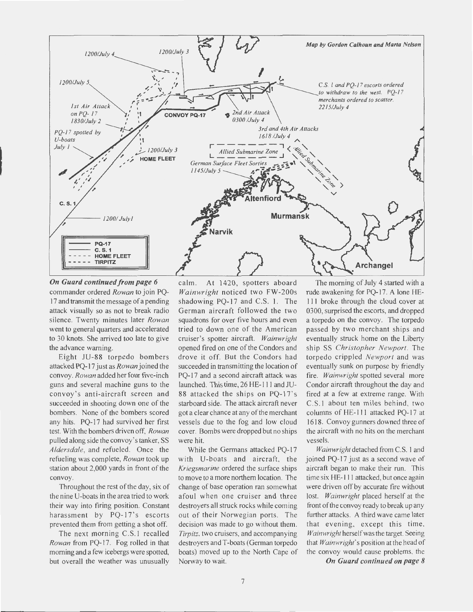![](_page_6_Figure_0.jpeg)

*On Guard continued from page 6*  commander ordered *Rowan* to join PQ-17 and transmit the message of a pending attack visually so as not to break radio silence. Twenty minutes later *Rowan*  went to general quarters and accelerated to 30 knots. She arrived too late to give the advance warning.

Eight JU-88 torpedo bombers attacked PQ-17 just as *Rowan* joined the convoy. *Rowan* added her four five-inch guns and several machine guns to the convoy's anti-aircraft screen and succeeded in shooting down one of the bombers. None of the bombers scored any hits. PQ-17 had survived her first test. With the bombers driven off, *Rowan*  pulled along side the convoy's tanker, SS *Aldersdale,* and refueled. Once the refueling was complete, *Rowan* took up station about 2,000 yards in front of the convoy.

Throughout the rest of the day, six of the nine U-boats in the area tried to work their way into firing position. Constant harassment by PQ-17's escorts prevented them from getting a shot off.

The next morning C.S.l recalled *Rowan* from PQ-17. Fog rolled in that morning and a few icebergs were spotted, but overall the weather was unusually

calm. At 1420, spotters aboard *Wainwright* noticed two FW-200s shadowing PQ-17 and C.S. 1. The German aircraft followed the two squadrons for over five hours and even tried to down one of the American cruiser's spotter aircraft. *Wainwright*  opened fired on one of the Condors and drove it off. But the Condors had succeeded in transmitting the location of PQ-17 and a second aircraft attack was launched. This time, 26 HE-Ill and JU-88 attacked the ships on PQ-17's starboard side. The attack aircraft never got a clear chance at any of the merchant vessels due to the fog and low cloud cover. Bombs were dropped but no ships were hit.

While the Germans attacked PQ-17 with U-boats and aircraft, the *Kriegsmarine* ordered the surface ships to move to a more northern location. The change of base operation ran somewhat afoul when one cruiser and three destroyers all struck rocks while coming out of their Norwegian ports. The decision was made to go without them. *Tirpitz,* two cruisers, and accompanying destroyers and T-boats (German torpedo boats) moved up to the North Cape of Norway to wait.

The morning of July 4 started with a rude awakening for PQ-17. A lone HE-I I I broke through the cloud cover at 0300, surprised the escorts, and dropped a torpedo on the convoy. The torpedo passed by two merchant ships and eventually struck home on the Liberty ship SS *Christopher Newport*. The torpedo crippled *Newport* and was eventually sunk on purpose by friendly fire. *Wainwright* spotted several more Condor aircraft throughout the day and fired at a few at extreme range. With C.S.I about ten miles behind, two columns of HE-Ill attacked PQ-17 at 1618. Convoy gunners downed three of the aircraft with no hits on the merchant vessels.

*Wainwright* detached from C.S. I and joined PQ-17 just as a second wave of aircraft began to make their run. This time six HE-Ill attacked, but once again were driven off by accurate fire without lost. *Wainwright* placed herself at the front of the convoy ready to break up any further attacks. A third wave came later that evening, except this time, *Wainwright* herself was the target. Seeing that *Wainwright's* position at the head of the convoy would cause problems, the

*On Guard continued on page 8*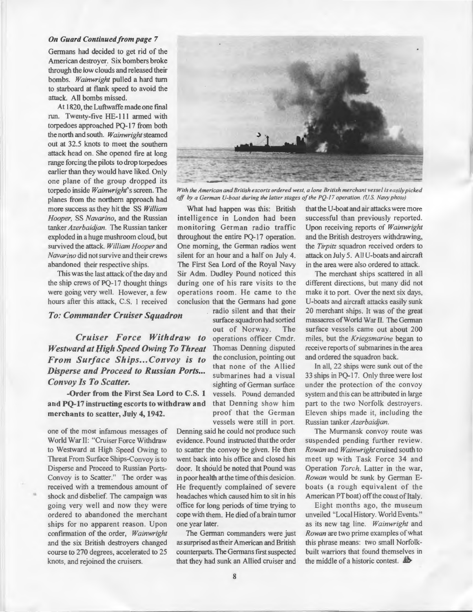#### *On Guard Continued from page* 7

Germans had decided to get rid of the American destroyer. Six bombers broke through the low clouds and released their bombs. *Wainwright* pulled a hard tum to starboard at flank speed to avoid the attack. All bombs missed.

At 1820, the Luftwaffe made one final run. Twenty-five HE-Ill armed with torpedoes approached PQ-17 from both the north and south. *Wainwright* steamed out at 32.5 knots to meet the southern attack head on. She opened fire at long range forcing the pilots to drop torpedoes earlier than they would have liked. Only one plane of the group dropped its torpedo inside *Wainwright's* screen. The planes from the northern approach had more success as they hit the SS *William Hooper,* SS *Navarino,* and the Russian tanker *Azerbaidjan.* The Russian tanker exploded in a huge mushroom cloud, but survived the attack. *William Hooper* and *Navarino* did not survive and their crews abandoned their respective ships.

This was the last attack of the day and the ship crews of PQ-17 thought things were going very well. However, a few hours after this attack, C.S. I received

**To: Commander Cruiser Squadron** 

*Cruiser Force Withdraw to Westward at lligh Speed Owing To Threat From Surface Ships ... Convoy is to Disperse and Proceed to Russian Ports ...*  **Convoy Is To Scatter.** Sighting of German surface

-Order from the First Sea Lord to C.S. 1 vessels. Pound demanded and PQ-17 instructing escorts to withdraw and merchants to scatter, July 4, 1942.

one of the most infamous messages of World War II: "Cruiser Force Withdraw to Westward at High Speed Owing to Threat From Surface Ships-Convoy is to Disperse and Proceed to Russian Ports-Convoy is to Scatter." The order was received with a tremendous amount of shock and disbelief. The campaign was going very well and now they were ordered to abandoned the merchant ships for no apparent reason. Upon confirmation of the order, *Wainwright*  and the *six* British destroyers changed course to 270 degrees, accelerated to 25 knots, and rejoined the cruisers.

•

![](_page_7_Picture_8.jpeg)

*With the American and British escorts ordered west, a lone British merchant vessel is easily picked off by a German U-boat during the latter stages of the PQ-17 operation. (U.S. Navy photo)* 

What had happen was this: British intelligence in London had been monitoring German radio traffic throughout the entire PQ-17 operation. One morning, the German radios went silent for an hour and a half on July 4. The First Sea Lord of the Royal Navy Sir Adm. Dudley Pound noticed this during one of his rare visits to the operations room. He came to the

conclusion that the Germans had gone<br>radio silent and that their surface squadron had sortied out of Norway. The operations officer Cmdr. Thomas Denning disputed the conclusion, pointing out that none of the Allied submarines had a visual that Denning show him proof that the German vessels were still in port.

Denning said he could not produce such evidence. Pound instructed that the order to scatter the convoy be given. He then went back into his office and closed his door. It should be noted that Pound was in poor health at the time of this desicion. He frequently complained of severe headaches which caused him to sit in his office for long periods of time trying to cope with them. He died of a brain tumor one year later.

The German commanders were just as surprised as their American and British counterparts. The Germans frrst suspected that they had sunk an Allied cruiser and that the U-boat and air attacks were more successful than previously reported. Upon receiving reports of *Wainwright*  and the British destroyers withdrawing, the *Tirpitz* squadron received orders to attack on July 5. All U-boats and aircraft in the area were also ordered to attack.

The merchant ships scattered in all different directions, but many did not make it to port. Over the next six days, U-boats and aircraft attacks easily sunk 20 merchant ships. It was of the great massacres of World War II. The German surface vessels came out about 200 miles, but the *Kriegsmarine* began to receive reports of submarines in the area and ordered the squadron back.

In all, 22 ships were sunk out of the 33 ships in PQ-17. Only three were lost under the protection of the convoy system and this can be attributed in large part to the two Norfolk destroyers. Eleven ships made it, including the Russian tanker *Azerbaidjan.* 

The Murmansk convoy route was suspended pending further review. *Rowan* and *Wainwright* cruised south to meet up with Task Force 34 and Operation *Torch.* Latter in the war, *Rowan* would be sunk by German Eboats (a rough equivalent of the American PT boat) off the coast of Italy.

Eight months ago, the museum unveiled "Local History. World Events." as its new tag line. *Wainwright* and *Rowan* are two prime examples of what this phrase means: two small Norfolkbuilt warriors that found themselves in the middle of a historic contest.  $\frac{4b}{2}$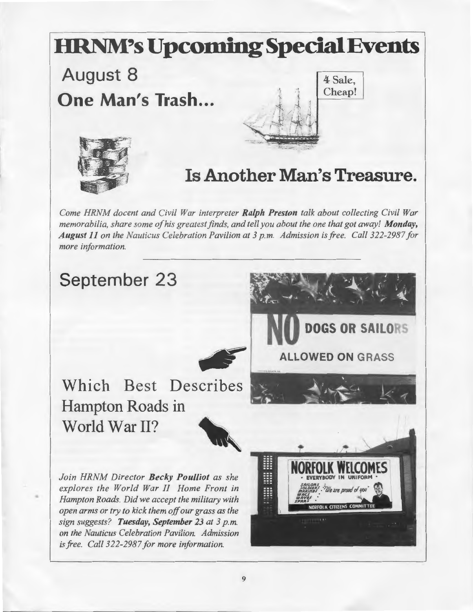![](_page_8_Picture_0.jpeg)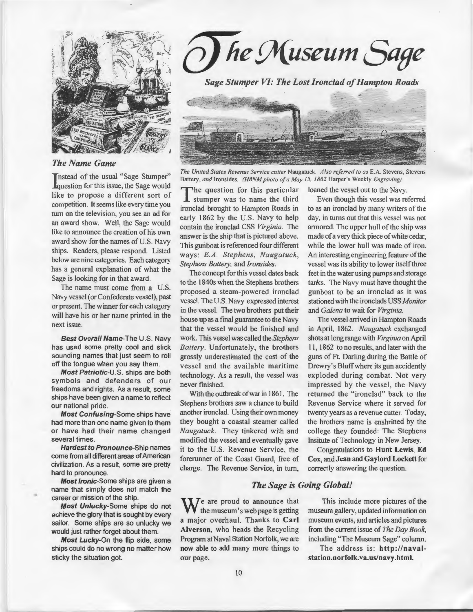![](_page_9_Picture_0.jpeg)

#### *The Name Game*

**T**nstead of the usual "Sage Stumper" **Equestion for this issue, the Sage would** like to propose a different sort of competition. It seems like every time you turn on the television, you see an ad for an award show. Well, the Sage would like to announce the creation of his own award show for the names of U.S. Navy ships. Readers, please respond. Listed below are nine categories. Each category has a general explanation of what the Sage is looking for in that award.

The name must come from a U.S. Navy vessel (or Confederate vessel), past or present. The winner for each category will have his or her name printed in the next issue.

Best Overall Name-The U.S. Navy has used some pretty cool and slick sounding names that just seem to roll off the tongue when you say them.

Most Patriotic-U.S. ships are both symbols and defenders of our freedoms and rights. As a result, some ships have been given a name to reflect our national pride.

Most Confusing-Some ships have had more than one name given to them or have had their name changed several times.

Hardest to Pronounce-Ship names come from all different areas of American civilization. As a result, some are pretty hard to pronounce.

Most Ironic-Some ships are given a name that simply does not match the career or mission of the ship.

•

Most Unlucky-Some ships do not achieve the glory that is sought by every sailor. Some ships are so unlucky we would just rather forget about them.

Most Lucky-On the flip side, some ships could do no wrong no matter how sticky the situation got.

*he Museum Sage* 

*Sage Stumper VI: The Lost Ironclad of Hampton Roads* 

![](_page_9_Picture_13.jpeg)

**The United States Revenue Service cutter Naugatuck. Also referred to as E.A. Stevens, Stevens** Battery, *and* Ironsides. *(HRNM photo of a May 15, 1862* Harper's Weekly *Engraving)* 

The question for this particular<br>stumper was to name the third ironclad brought to Hampton Roads in early 1862 by the U.S. Navy to help contain the ironclad CSS *Virginia.* The answer is the ship that is pictured above. This gunboat is referenced four different ways: *E.A. Stephens, Naugatuck, Stephens Battery,* and *Ironsides.* 

The concept for this vessel dates back to the 1840s when the Stephens brothers proposed a steam-powered ironclad vessel. The U.S. Navy expressed interest in the vessel. The two brothers put their house up as a final guarantee to the Navy that the vessel would be finished and work. This vessel was called the *Stephens Battery.* Unfortunately, the brothers grossly underestimated the cost of the vessel and the available maritime technology. As a result, the vessel was never finished.

With the outbreak of war in 1861. The Stephens brothers saw a chance to build another ironclad. Using their own money they bought a coastal steamer called *Naugatuck.* They tinkered with and modified the vessel and eventually gave it to the U.S. Revenue Service, the forerunner of the Coast Guard, free of charge. The Revenue Service, in turn,

loaned the vessel out to the Navy.

Even though this vessel was referred to as an ironclad by many writers of the day, in turns out that this vessel was not armored. The upper hull of the ship was made of a very thick piece of white cedar, while the lower hull was made of iron. An interesting engineering feature of the vessel was its ability to lower itself three feet in the water using pumps and storage tanks. The Navy must have thought the gunboat to be an ironclad as it was stationed with the ironclads USS *Monitor*  and *Galena* to wait for *Virginia.* 

The vessel arrived in Hampton Roads in April, 1862. *Naugatuck* exchanged shots at long range with *Virginia* on April II , 1862 to no results, and later with the guns of Ft. Darling during the Battle of Drewry's Bluff where its gun accidently exploded during combat. Not very impressed by the vessel, the Navy returned the "ironclad" back to the Revenue Service where it served for twenty years as a revenue cutter. Today, the brothers name is enshrined by the college they founded: The Stephens Insitute of Technology in New Jersey.

Congratulations to Hunt Lewis, Ed Cox, and Jean and Gaylord Lockett for correctly answering the question.

#### *The Sage is Going Global!*

 $\mathbf{W}$  e are proud to announce that the museum's web page is getting a major overhaul. Thanks to Carl Alverson, who heads the Recycling Program at Naval Station Norfolk, we are now able to add many more things to our page.

This include more pictures of the museum gallery, updated information on museum events, and articles and pictures from the current issue of *The Day Book,*  including "The Museum Sage" column.

The address is: http://navalstation.norfolk. va. us/navy .htm I.